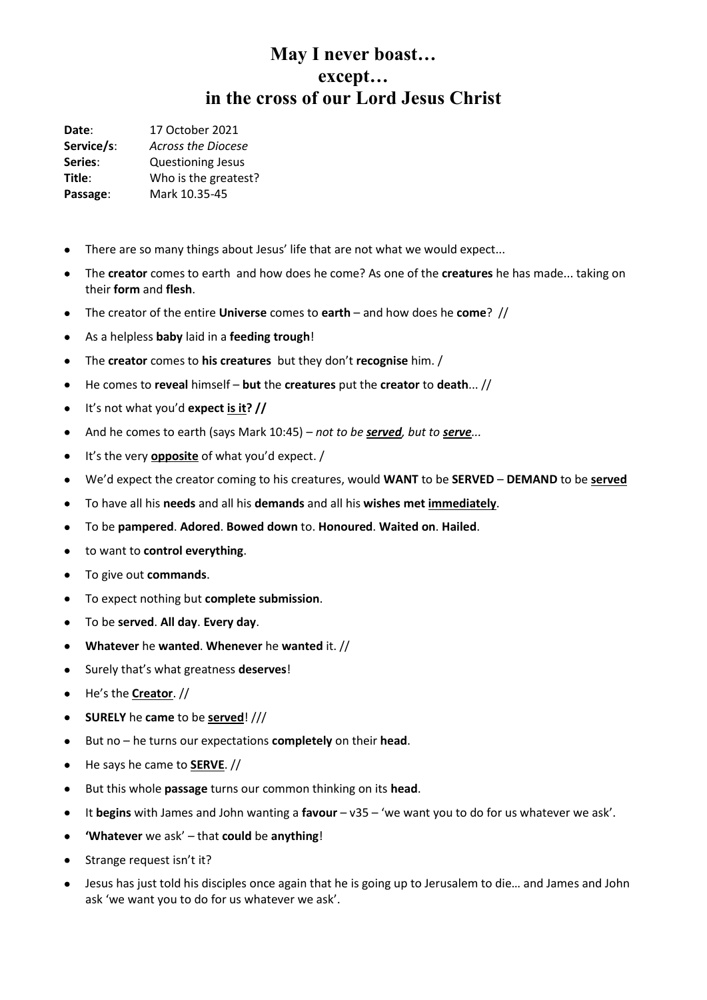**Date**: 17 October 2021 **Service/s**: *Across the Diocese* **Series**: Questioning Jesus **Title:** Who is the greatest? **Passage**: Mark 10.35-45

- There are so many things about Jesus' life that are not what we would expect...
- The **creator** comes to earth and how does he come? As one of the **creatures** he has made... taking on their **form** and **flesh**.
- The creator of the entire **Universe** comes to **earth** and how does he **come**? //
- As a helpless **baby** laid in a **feeding trough**!
- The **creator** comes to **his creatures** but they don't **recognise** him. /
- He comes to **reveal** himself **but** the **creatures** put the **creator** to **death**... //
- It's not what you'd **expect is it? //**
- And he comes to earth (says Mark 10:45) *not to be served, but to serve...*
- It's the very **opposite** of what you'd expect. /
- We'd expect the creator coming to his creatures, would **WANT** to be **SERVED DEMAND** to be **served**
- To have all his **needs** and all his **demands** and all his **wishes met immediately**.
- To be **pampered**. **Adored**. **Bowed down** to. **Honoured**. **Waited on**. **Hailed**.
- to want to **control everything**.
- To give out **commands**.
- To expect nothing but **complete submission**.
- To be **served**. **All day**. **Every day**.
- **Whatever** he **wanted**. **Whenever** he **wanted** it. //
- Surely that's what greatness **deserves**!
- He's the **Creator**. //
- **SURELY** he **came** to be **served**! ///
- But no he turns our expectations **completely** on their **head**.
- He says he came to **SERVE**. //
- But this whole **passage** turns our common thinking on its **head**.
- It **begins** with James and John wanting a **favour** v35 'we want you to do for us whatever we ask'.
- **'Whatever** we ask' that **could** be **anything**!
- Strange request isn't it?
- Jesus has just told his disciples once again that he is going up to Jerusalem to die… and James and John ask 'we want you to do for us whatever we ask'.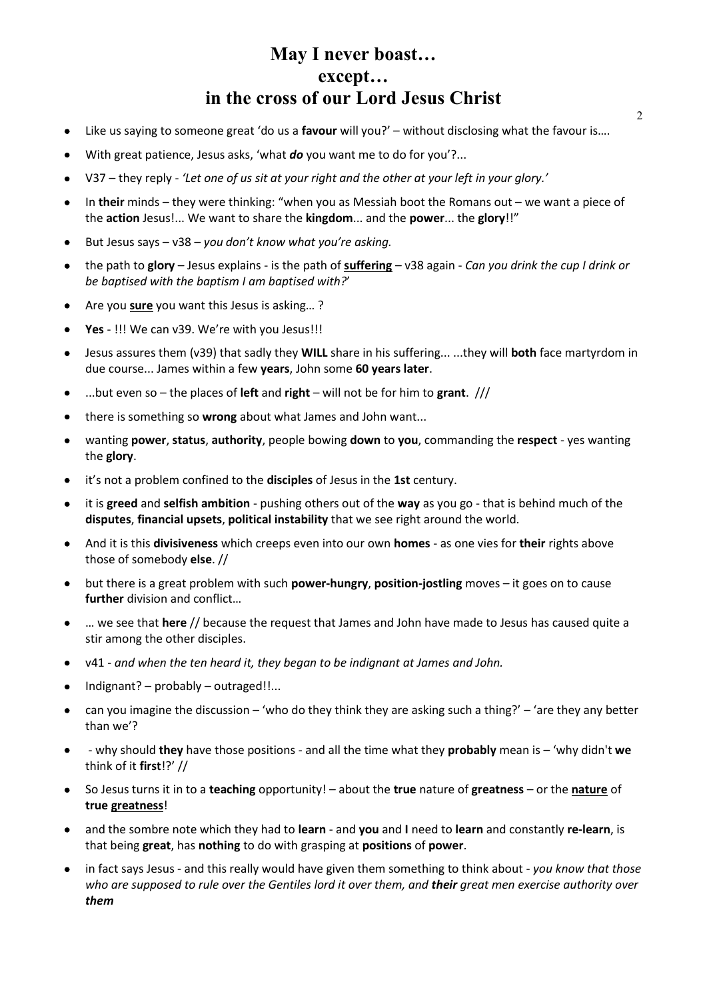- Like us saying to someone great 'do us a **favour** will you?' without disclosing what the favour is….
- With great patience, Jesus asks, 'what *do* you want me to do for you'?...
- V37 they reply *'Let one of us sit at your right and the other at your left in your glory.'*
- In **their** minds they were thinking: "when you as Messiah boot the Romans out we want a piece of the **action** Jesus!... We want to share the **kingdom**... and the **power**... the **glory**!!"
- But Jesus says v38 *you don't know what you're asking.*
- the path to **glory** Jesus explains is the path of **suffering** v38 again *Can you drink the cup I drink or be baptised with the baptism I am baptised with?*'
- Are you **sure** you want this Jesus is asking… ?
- **Yes** !!! We can v39. We're with you Jesus!!!
- Jesus assures them (v39) that sadly they **WILL** share in his suffering... ...they will **both** face martyrdom in due course... James within a few **years**, John some **60 years later**.
- ...but even so the places of **left** and **right** will not be for him to **grant**. ///
- there is something so **wrong** about what James and John want...
- wanting **power**, **status**, **authority**, people bowing **down** to **you**, commanding the **respect** yes wanting the **glory**.
- it's not a problem confined to the **disciples** of Jesus in the **1st** century.
- it is **greed** and **selfish ambition** pushing others out of the **way** as you go that is behind much of the **disputes**, **financial upsets**, **political instability** that we see right around the world.
- And it is this **divisiveness** which creeps even into our own **homes** as one vies for **their** rights above those of somebody **else**. //
- but there is a great problem with such **power-hungry**, **position-jostling** moves it goes on to cause **further** division and conflict…
- … we see that **here** // because the request that James and John have made to Jesus has caused quite a stir among the other disciples.
- v41 *and when the ten heard it, they began to be indignant at James and John.*
- Indignant? probably outraged!!...
- can you imagine the discussion 'who do they think they are asking such a thing?' 'are they any better than we'?
- - why should **they** have those positions and all the time what they **probably** mean is 'why didn't **we** think of it **first**!?' //
- So Jesus turns it in to a **teaching** opportunity! about the **true** nature of **greatness** or the **nature** of **true greatness**!
- and the sombre note which they had to **learn** and **you** and **I** need to **learn** and constantly **re-learn**, is that being **great**, has **nothing** to do with grasping at **positions** of **power**.
- in fact says Jesus and this really would have given them something to think about *you know that those who are supposed to rule over the Gentiles lord it over them, and their great men exercise authority over them*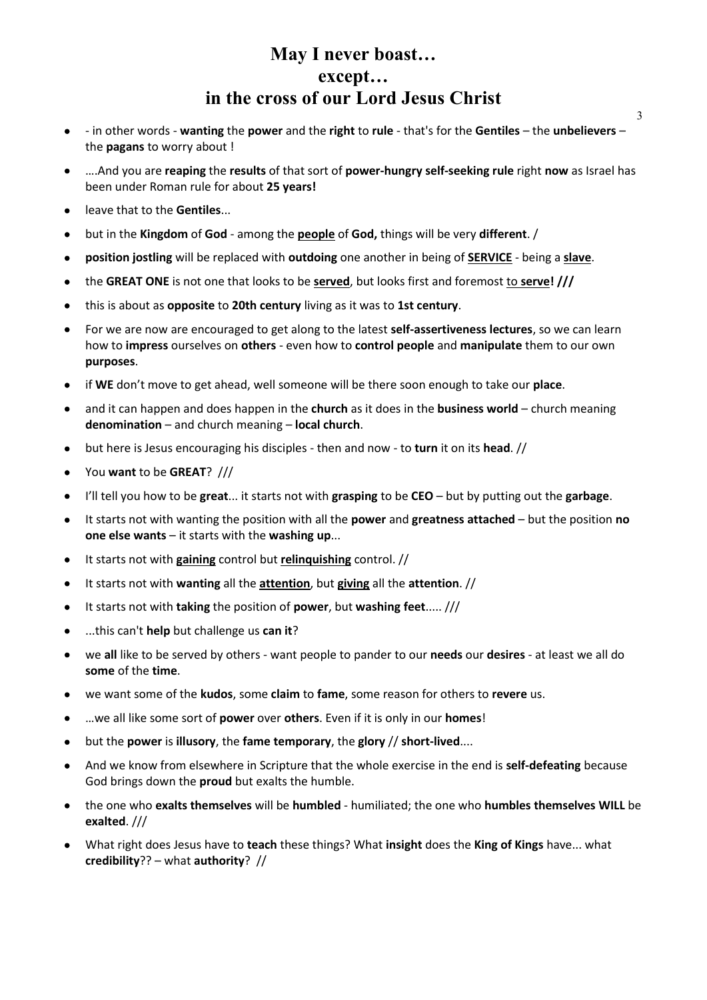3

- - in other words **wanting** the **power** and the **right** to **rule** that's for the **Gentiles** the **unbelievers** the **pagans** to worry about !
- ….And you are **reaping** the **results** of that sort of **power-hungry self-seeking rule** right **now** as Israel has been under Roman rule for about **25 years!**
- leave that to the **Gentiles**...
- but in the **Kingdom** of **God** among the **people** of **God,** things will be very **different**. /
- **position jostling** will be replaced with **outdoing** one another in being of **SERVICE** being a **slave**.
- the **GREAT ONE** is not one that looks to be **served**, but looks first and foremost to **serve! ///**
- this is about as **opposite** to **20th century** living as it was to **1st century**.
- For we are now are encouraged to get along to the latest **self-assertiveness lectures**, so we can learn how to **impress** ourselves on **others** - even how to **control people** and **manipulate** them to our own **purposes**.
- if **WE** don't move to get ahead, well someone will be there soon enough to take our **place**.
- and it can happen and does happen in the **church** as it does in the **business world** church meaning **denomination** – and church meaning – **local church**.
- but here is Jesus encouraging his disciples then and now to **turn** it on its **head**. //
- You **want** to be **GREAT**? ///
- I'll tell you how to be **great**... it starts not with **grasping** to be **CEO** but by putting out the **garbage**.
- It starts not with wanting the position with all the **power** and **greatness attached** but the position **no one else wants** – it starts with the **washing up**...
- It starts not with **gaining** control but **relinquishing** control. //
- It starts not with **wanting** all the **attention**, but **giving** all the **attention**. //
- It starts not with **taking** the position of **power**, but **washing feet**..... ///
- ...this can't **help** but challenge us **can it**?
- we **all** like to be served by others want people to pander to our **needs** our **desires** at least we all do **some** of the **time**.
- we want some of the **kudos**, some **claim** to **fame**, some reason for others to **revere** us.
- …we all like some sort of **power** over **others**. Even if it is only in our **homes**!
- but the **power** is **illusory**, the **fame temporary**, the **glory** // **short-lived**....
- And we know from elsewhere in Scripture that the whole exercise in the end is **self-defeating** because God brings down the **proud** but exalts the humble.
- the one who **exalts themselves** will be **humbled** humiliated; the one who **humbles themselves WILL** be **exalted**. ///
- What right does Jesus have to **teach** these things? What **insight** does the **King of Kings** have... what **credibility**?? – what **authority**? //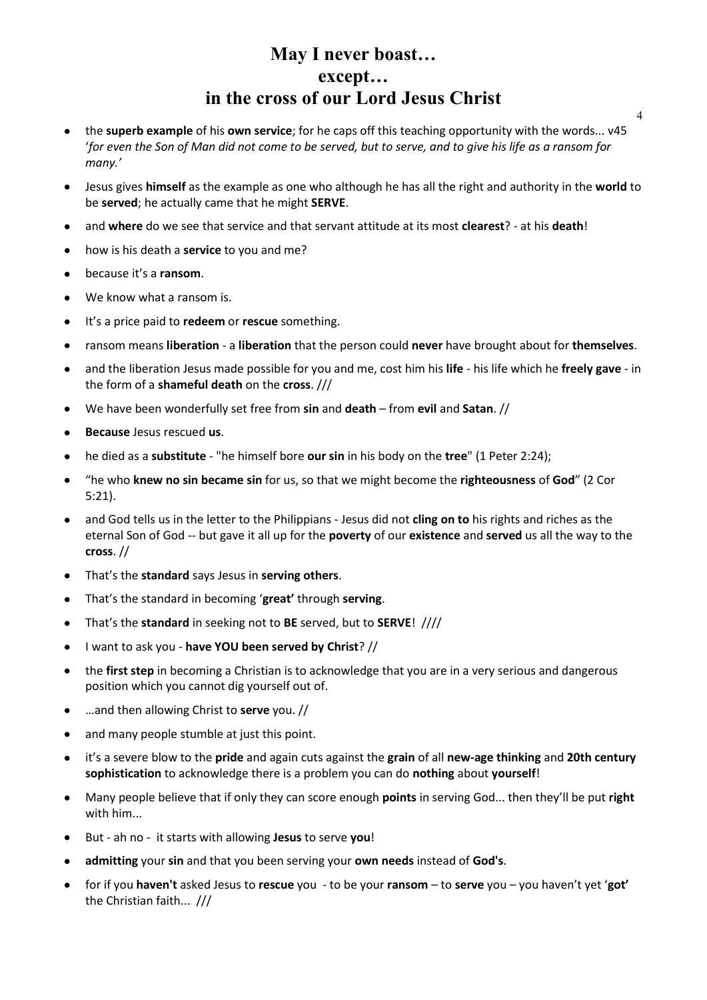- the **superb example** of his **own service**; for he caps off this teaching opportunity with the words... v45 '*for even the Son of Man did not come to be served, but to serve, and to give his life as a ransom for many.'*
- Jesus gives **himself** as the example as one who although he has all the right and authority in the **world** to be **served**; he actually came that he might **SERVE**.
- and **where** do we see that service and that servant attitude at its most **clearest**? at his **death**!
- how is his death a **service** to you and me?
- because it's a **ransom**.
- We know what a ransom is.
- It's a price paid to **redeem** or **rescue** something.
- ransom means **liberation** a **liberation** that the person could **never** have brought about for **themselves**.
- and the liberation Jesus made possible for you and me, cost him his **life** his life which he **freely gave** in the form of a **shameful death** on the **cross**. ///
- We have been wonderfully set free from **sin** and **death** from **evil** and **Satan**. //
- **Because** Jesus rescued **us**.
- he died as a **substitute** "he himself bore **our sin** in his body on the **tree**" (1 Peter 2:24);
- "he who **knew no sin became sin** for us, so that we might become the **righteousness** of **God**" (2 Cor 5:21).
- and God tells us in the letter to the Philippians Jesus did not **cling on to** his rights and riches as the eternal Son of God -- but gave it all up for the **poverty** of our **existence** and **served** us all the way to the **cross**. //
- That's the **standard** says Jesus in **serving others**.
- That's the standard in becoming '**great'** through **serving**.
- That's the **standard** in seeking not to **BE** served, but to **SERVE**! ////
- I want to ask you **have YOU been served by Christ**? //
- the **first step** in becoming a Christian is to acknowledge that you are in a very serious and dangerous position which you cannot dig yourself out of.
- …and then allowing Christ to **serve** you. //
- and many people stumble at just this point.
- it's a severe blow to the **pride** and again cuts against the **grain** of all **new-age thinking** and **20th century sophistication** to acknowledge there is a problem you can do **nothing** about **yourself**!
- Many people believe that if only they can score enough **points** in serving God... then they'll be put **right** with him...
- But ah no it starts with allowing **Jesus** to serve **you**!
- **admitting** your **sin** and that you been serving your **own needs** instead of **God's**.
- for if you **haven't** asked Jesus to **rescue** you to be your **ransom** to **serve** you you haven't yet '**got'** the Christian faith... ///